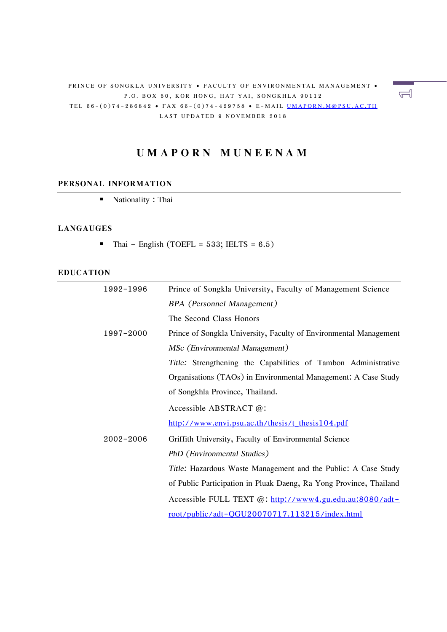#### PRINCE OF SONGKLA UNIVERSITY • FACULTY OF ENVIRONMENTAL MANAGEMENT • P.O. BOX 50, KOR HONG, HAT YAI, SONGKHLA 90112 TEL 66-(0)74-286842 • FAX 66-(0)74-429758 • E-MAIL UMAPORN.M@PSU.AC.TH LAST UPDATED 9 NOVEMBER 2018

# **U M A P O R N M U N E E N A M**

#### **PERSONAL INFORMATION**

■ Nationality : Thai

#### **LANGAUGES**

 $\blacksquare$  Thai – English (TOEFL = 533; IELTS = 6.5)

#### **EDUCATION**

| 1992-1996 | Prince of Songkla University, Faculty of Management Science        |  |  |  |  |  |  |
|-----------|--------------------------------------------------------------------|--|--|--|--|--|--|
|           | <b>BPA</b> (Personnel Management)                                  |  |  |  |  |  |  |
|           | The Second Class Honors                                            |  |  |  |  |  |  |
| 1997-2000 | Prince of Songkla University, Faculty of Environmental Management  |  |  |  |  |  |  |
|           | MSc (Environmental Management)                                     |  |  |  |  |  |  |
|           | Title: Strengthening the Capabilities of Tambon Administrative     |  |  |  |  |  |  |
|           | Organisations (TAOs) in Environmental Management: A Case Study     |  |  |  |  |  |  |
|           | of Songkhla Province, Thailand.                                    |  |  |  |  |  |  |
|           | Accessible ABSTRACT @:                                             |  |  |  |  |  |  |
|           | http://www.envi.psu.ac.th/thesis/t_thesis104.pdf                   |  |  |  |  |  |  |
| 2002-2006 | Griffith University, Faculty of Environmental Science              |  |  |  |  |  |  |
|           | PhD (Environmental Studies)                                        |  |  |  |  |  |  |
|           | Title: Hazardous Waste Management and the Public: A Case Study     |  |  |  |  |  |  |
|           | of Public Participation in Pluak Daeng, Ra Yong Province, Thailand |  |  |  |  |  |  |
|           | Accessible FULL TEXT @: http://www4.gu.edu.au:8080/adt-            |  |  |  |  |  |  |
|           | root/public/adt-QGU20070717.113215/index.html                      |  |  |  |  |  |  |

 $\overline{\mathbb{Z}}$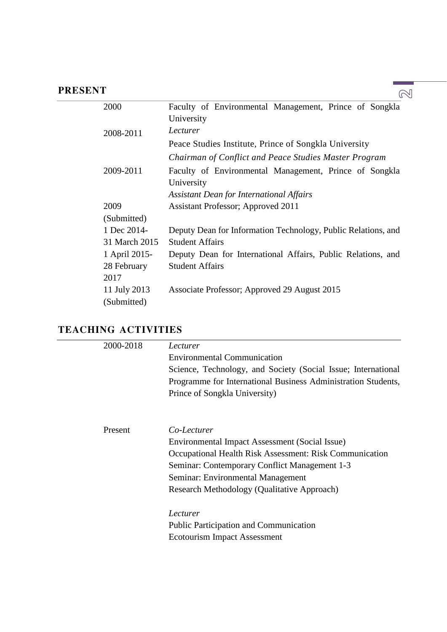### **PRESENT**

| 2000          | Faculty of Environmental Management, Prince of Songkla        |
|---------------|---------------------------------------------------------------|
|               | University                                                    |
| 2008-2011     | Lecturer                                                      |
|               | Peace Studies Institute, Prince of Songkla University         |
|               | Chairman of Conflict and Peace Studies Master Program         |
| 2009-2011     | Faculty of Environmental Management, Prince of Songkla        |
|               | University                                                    |
|               | <b>Assistant Dean for International Affairs</b>               |
| 2009          | Assistant Professor; Approved 2011                            |
| (Submitted)   |                                                               |
| 1 Dec 2014-   | Deputy Dean for Information Technology, Public Relations, and |
| 31 March 2015 | <b>Student Affairs</b>                                        |
| 1 April 2015- | Deputy Dean for International Affairs, Public Relations, and  |
| 28 February   | <b>Student Affairs</b>                                        |
| 2017          |                                                               |
| 11 July 2013  | Associate Professor; Approved 29 August 2015                  |
| (Submitted)   |                                                               |

### **TEACHING ACTIVITIES**

| 2000-2018 | Lecturer                                                      |
|-----------|---------------------------------------------------------------|
|           | <b>Environmental Communication</b>                            |
|           | Science, Technology, and Society (Social Issue; International |
|           | Programme for International Business Administration Students, |
|           | Prince of Songkla University)                                 |
|           |                                                               |
| Present   | Co-Lecturer                                                   |
|           | Environmental Impact Assessment (Social Issue)                |
|           | Occupational Health Risk Assessment: Risk Communication       |
|           | Seminar: Contemporary Conflict Management 1-3                 |
|           | Seminar: Environmental Management                             |
|           | Research Methodology (Qualitative Approach)                   |
|           | Lecturer                                                      |
|           | <b>Public Participation and Communication</b>                 |
|           | Ecotourism Impact Assessment                                  |
|           |                                                               |

 $\mathbb{Q}$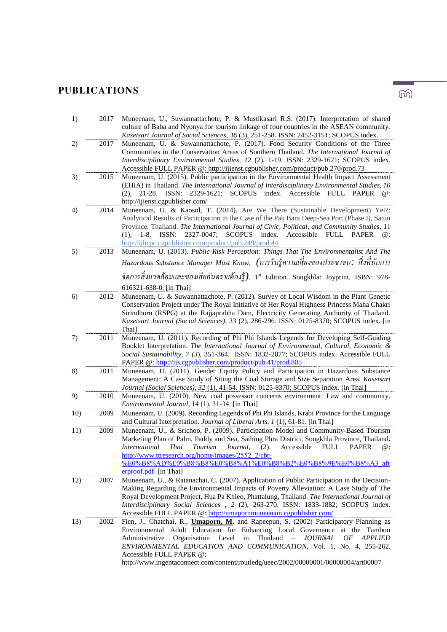# **PUBLICATIONS**

| 1)  | 2017 | Muneenam, U., Suwannattachote, P. & Mustikasari R.S. (2017). Interpretation of shared<br>culture of Baba and Nyonya for tourism linkage of four countries in the ASEAN community.<br>Kasetsart Journal of Social Sciences, 38 (3), 251-258. ISSN: 2452-3151; SCOPUS index.                                                                                                                                                                                                                       |
|-----|------|--------------------------------------------------------------------------------------------------------------------------------------------------------------------------------------------------------------------------------------------------------------------------------------------------------------------------------------------------------------------------------------------------------------------------------------------------------------------------------------------------|
| 2)  | 2017 | Muneenam, U. & Suwannattachote, P. (2017). Food Security Conditions of the Three<br>Communities in the Conservation Areas of Southern Thailand. The International Journal of<br>Interdisciplinary Environmental Studies, 12 (2), 1-19. ISSN: 2329-1621; SCOPUS index.<br>Accessible FULL PAPER @: http://ijienst.cgpublisher.com/product/pub.270/prod.73                                                                                                                                         |
| 3)  | 2015 | Muneenam, U. (2015). Public participation in the Environmental Health Impact Assessment<br>(EHIA) in Thailand. The International Journal of Interdisciplinary Environmental Studies, 10<br>21-28. ISSN: 2329-1621; SCOPUS index. Accessible FULL<br>(2),<br>PAPER<br>$\omega$ :<br>http://ijienst.cgpublisher.com/                                                                                                                                                                               |
| 4)  | 2014 | Muneenam, U. & Kaosol, T. (2014). Are We There (Sustainable Development) Yet ?:<br>Analytical Results of Participation in the Case of the Pak Bara Deep-Sea Port (Phase I), Satun<br>Province, Thailand. The International Journal of Civic, Political, and Community Studies, 11<br>$1-8.$ ISSN: $2327-0047;$<br>SCOPUS index.<br>Accessible FULL PAPER<br>$\omega$ :<br>(1),<br>http://ijhcpc.cgpublisher.com/product/pub.249/prod.44                                                          |
| 5)  | 2013 | Muneenam, U. (2013). Public Risk Perception: Things That The Environmentalist And The                                                                                                                                                                                                                                                                                                                                                                                                            |
|     |      | Hazardous Substance Manager Must Know.  (การรับรู้ความเสี่ยงของประชาชน:  สิ่งที่นักการ                                                                                                                                                                                                                                                                                                                                                                                                           |
|     |      | จัคการสิ่งแวคล้อมและของเสียอันตรายต้องรู้). 1st Edition. Songkhla: Joyprint. ISBN: 978-                                                                                                                                                                                                                                                                                                                                                                                                          |
| 6)  | 2012 | 616321-638-0. [in Thai]<br>Muneenam, U. & Suwannattachote, P. (2012). Survey of Local Wisdom in the Plant Genetic                                                                                                                                                                                                                                                                                                                                                                                |
|     |      | Conservation Project under The Royal Initiative of Her Royal Highness Princess Maha Chakri<br>Sirindhorn (RSPG) at the Rajjaprabha Dam, Electricity Generating Authority of Thailand.<br>Kasetsart Journal (Social Sciences), 33 (2), 286-296. ISSN: 0125-8370; SCOPUS index. [in<br>Thai]                                                                                                                                                                                                       |
| 7)  | 2011 | Muneenam, U. (2011). Recording of Phi Phi Islands Legends for Developing Self-Guiding<br>Booklet Interpretation. The International Journal of Environmental, Cultural, Economic &<br>Social Sustainability, 7 (3), 351-364. ISSN: 1832-2077; SCOPUS index. Accessible FULL<br>PAPER @: http://ijs.cgpublisher.com/product/pub.41/prod.805                                                                                                                                                        |
| 8)  | 2011 | Muneenam, U. (2011). Gender Equity Policy and Participation in Hazardous Substance<br>Management: A Case Study of Siting the Coal Storage and Size Separation Area. Kasetsart<br>Journal (Social Sciences), 32 (1), 41-54. ISSN: 0125-8370; SCOPUS index. [in Thai]                                                                                                                                                                                                                              |
| 9)  | 2010 | Muneenam, U. (2010). New coal possessor concerns environment: Law and community.                                                                                                                                                                                                                                                                                                                                                                                                                 |
| 10) | 2009 | Environmental Journal, 14 (1), 31-34. [in Thai]<br>Muneenam, U. (2009). Recording Legends of Phi Phi Islands, Krabi Province for the Language<br>and Cultural Interpretation. Journal of Liberal Arts, 1 (1), 61-81. [in Thai]                                                                                                                                                                                                                                                                   |
| 11) | 2009 | Muneenam, U., & Srichoo, P. (2009). Participation Model and Community-Based Tourism<br>Marketing Plan of Palm, Paddy and Sea, Sathing Phra District, Songkhla Province, Thailand.<br>International Thai Tourism Journal, (2). Accessible FULL PAPER<br>http://www.ttresearch.org/home/images/2552_2/cbt-<br>%E0%B8%AD%E0%B8%B8%E0%B8%A1%E0%B8%B2%E0%B8%9E%E0%B8%A3_aft<br>erproof.pdf. [in Thai]                                                                                                 |
| 12) | 2007 | Muneenam, U., & Ratanachai, C. (2007). Application of Public Participation in the Decision-<br>Making Regarding the Environmental Impacts of Poverty Alleviation: A Case Study of The                                                                                                                                                                                                                                                                                                            |
|     |      | Royal Development Project, Hua Pa Khieo, Phattalung, Thailand. The International Journal of<br>Interdisciplinary Social Sciences , 2 (2), 263-270. ISSN: 1833-1882; SCOPUS index.<br>Accessible FULL PAPER @: http://umapornmuneenam.cgpublisher.com/                                                                                                                                                                                                                                            |
| 13) | 2002 | Fien, J., Chatchai, R., <i>Umaporn, M.</i> and Rapeepun, S. (2002) Participatory Planning as<br>Environmental Adult Education for Enhancing Local Governance at the Tambon<br>Thailand<br>$\overline{\phantom{m}}$<br>Administrative<br>Organisation Level in<br><b>JOURNAL</b><br>OF<br><b>APPLIED</b><br>ENVIRONMENTAL EDUCATION AND COMMUNICATION, Vol. 1, No. 4, 255-262.<br>Accessible FULL PAPER @:<br>http://www.ingentaconnect.com/content/routledg/ueec/2002/00000001/00000004/art00007 |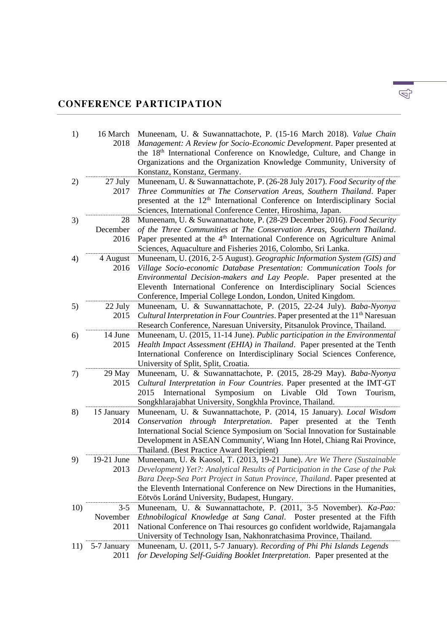## **CONFERENCE PARTICIPATION**

| 1)  | 16 March<br>2018            | Muneenam, U. & Suwannattachote, P. (15-16 March 2018). Value Chain<br>Management: A Review for Socio-Economic Development. Paper presented at<br>the 18 <sup>th</sup> International Conference on Knowledge, Culture, and Change in<br>Organizations and the Organization Knowledge Community, University of<br>Konstanz, Konstanz, Germany.                         |
|-----|-----------------------------|----------------------------------------------------------------------------------------------------------------------------------------------------------------------------------------------------------------------------------------------------------------------------------------------------------------------------------------------------------------------|
| 2)  | 27 July<br>2017             | Muneenam, U. & Suwannattachote, P. (26-28 July 2017). Food Security of the<br>Three Communities at The Conservation Areas, Southern Thailand. Paper<br>presented at the 12 <sup>th</sup> International Conference on Interdisciplinary Social<br>Sciences, International Conference Center, Hiroshima, Japan.                                                        |
| 3)  | 28<br>December<br>2016      | Muneenam, U. & Suwannattachote, P. (28-29 December 2016). Food Security<br>of the Three Communities at The Conservation Areas, Southern Thailand.<br>Paper presented at the 4 <sup>th</sup> International Conference on Agriculture Animal<br>Sciences, Aquaculture and Fisheries 2016, Colombo, Sri Lanka.                                                          |
| 4)  | 4 August<br>2016            | Muneenam, U. (2016, 2-5 August). Geographic Information System (GIS) and<br>Village Socio-economic Database Presentation: Communication Tools for<br>Environmental Decision-makers and Lay People. Paper presented at the<br>Eleventh International Conference on Interdisciplinary Social Sciences<br>Conference, Imperial College London, London, United Kingdom.  |
| 5)  | 22 July<br>2015             | Muneenam, U. & Suwannattachote, P. (2015, 22-24 July). Baba-Nyonya<br>Cultural Interpretation in Four Countries. Paper presented at the 11 <sup>th</sup> Naresuan<br>Research Conference, Naresuan University, Pitsanulok Province, Thailand.                                                                                                                        |
| 6)  | 14 June<br>2015             | Muneenam, U. (2015, 11-14 June). Public participation in the Environmental<br>Health Impact Assessment (EHIA) in Thailand. Paper presented at the Tenth<br>International Conference on Interdisciplinary Social Sciences Conference,<br>University of Split, Split, Croatia.                                                                                         |
| 7)  | 29 May<br>2015              | Muneenam, U. & Suwannattachote, P. (2015, 28-29 May). Baba-Nyonya<br>Cultural Interpretation in Four Countries. Paper presented at the IMT-GT<br>Symposium<br>International<br>Livable<br>Old<br>2015<br>Town<br>Tourism,<br>on<br>Songkhlarajabhat University, Songkhla Province, Thailand.                                                                         |
| 8)  | 15 January<br>2014          | Muneenam, U. & Suwannattachote, P. (2014, 15 January). Local Wisdom<br>Conservation through Interpretation. Paper presented at the Tenth<br>International Social Science Symposium on 'Social Innovation for Sustainable<br>Development in ASEAN Community', Wiang Inn Hotel, Chiang Rai Province,<br>Thailand. (Best Practice Award Recipient)                      |
| 9)  | 19-21 June<br>2013          | Muneenam, U. & Kaosol, T. (2013, 19-21 June). Are We There (Sustainable<br>Development) Yet?: Analytical Results of Participation in the Case of the Pak<br>Bara Deep-Sea Port Project in Satun Province, Thailand. Paper presented at<br>the Eleventh International Conference on New Directions in the Humanities,<br>Eötvös Loránd University, Budapest, Hungary. |
| 10) | $3 - 5$<br>November<br>2011 | Muneenam, U. & Suwannattachote, P. (2011, 3-5 November). Ka-Pao:<br>Ethnobilogical Knowledge at Sang Canal. Poster presented at the Fifth<br>National Conference on Thai resources go confident worldwide, Rajamangala<br>University of Technology Isan, Nakhonratchasima Province, Thailand.                                                                        |
| 11) | 5-7 January<br>2011         | Muneenam, U. (2011, 5-7 January). Recording of Phi Phi Islands Legends<br>for Developing Self-Guiding Booklet Interpretation. Paper presented at the                                                                                                                                                                                                                 |

 $\mathbb{Q}$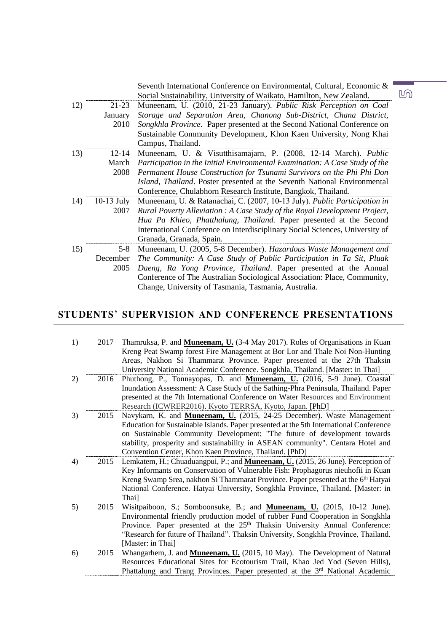|              | Seventh International Conference on Environmental, Cultural, Economic &<br>Social Sustainability, University of Waikato, Hamilton, New Zealand. |
|--------------|-------------------------------------------------------------------------------------------------------------------------------------------------|
| 21-23        | Muneenam, U. (2010, 21-23 January). Public Risk Perception on Coal                                                                              |
| January      | Storage and Separation Area, Chanong Sub-District, Chana District,                                                                              |
| 2010         | Songkhla Province. Paper presented at the Second National Conference on                                                                         |
|              | Sustainable Community Development, Khon Kaen University, Nong Khai                                                                              |
|              | Campus, Thailand.                                                                                                                               |
| 12-14        | Muneenam, U. & Visutthisamajarn, P. (2008, 12-14 March). Public                                                                                 |
| March        | Participation in the Initial Environmental Examination: A Case Study of the                                                                     |
| 2008         | Permanent House Construction for Tsunami Survivors on the Phi Phi Don                                                                           |
|              | Island, Thailand. Poster presented at the Seventh National Environmental                                                                        |
|              | Conference, Chulabhorn Research Institute, Bangkok, Thailand.                                                                                   |
| $10-13$ July | Muneenam, U. & Ratanachai, C. (2007, 10-13 July). Public Participation in                                                                       |
| 2007         | Rural Poverty Alleviation : A Case Study of the Royal Development Project,                                                                      |
|              | Hua Pa Khieo, Phatthalung, Thailand. Paper presented at the Second                                                                              |
|              | International Conference on Interdisciplinary Social Sciences, University of                                                                    |
|              | Granada, Granada, Spain.                                                                                                                        |
| $5-8$        | Muneenam, U. (2005, 5-8 December). Hazardous Waste Management and                                                                               |
| December     | The Community: A Case Study of Public Participation in Ta Sit, Pluak                                                                            |
| 2005         | Daeng, Ra Yong Province, Thailand. Paper presented at the Annual                                                                                |
|              | Conference of The Australian Sociological Association: Place, Community,                                                                        |
|              | Change, University of Tasmania, Tasmania, Australia.                                                                                            |
|              |                                                                                                                                                 |

### **STUDENTS' SUPERVISION AND CONFERENCE PRESENTATIONS**

| 1) | 2017 | Thamruksa, P. and Muneenam, U. (3-4 May 2017). Roles of Organisations in Kuan<br>Kreng Peat Swamp forest Fire Management at Bor Lor and Thale Noi Non-Hunting<br>Areas, Nakhon Si Thammarat Province. Paper presented at the 27th Thaksin<br>University National Academic Conference. Songkhla, Thailand. [Master: in Thai]                                                               |
|----|------|-------------------------------------------------------------------------------------------------------------------------------------------------------------------------------------------------------------------------------------------------------------------------------------------------------------------------------------------------------------------------------------------|
| 2) | 2016 | Phuthong, P., Tonnayopas, D. and Muneenam, U. (2016, 5-9 June). Coastal<br>Inundation Assessment: A Case Study of the Sathing-Phra Peninsula, Thailand. Paper<br>presented at the 7th International Conference on Water Resources and Environment<br>Research (ICWRER2016). Kyoto TERRSA, Kyoto, Japan. [PhD]                                                                             |
| 3) | 2015 | Navykarn, K. and Muneenam, U. (2015, 24-25 December). Waste Management<br>Education for Sustainable Islands. Paper presented at the 5th International Conference<br>on Sustainable Community Development: "The future of development towards<br>stability, prosperity and sustainability in ASEAN community". Centara Hotel and<br>Convention Center, Khon Kaen Province, Thailand. [PhD] |
| 4) | 2015 | Lemkatem, H.; Chuaduangpui, P.; and <b>Muneenam, U.</b> (2015, 26 June). Perception of<br>Key Informants on Conservation of Vulnerable Fish: Prophagorus nieuhofii in Kuan<br>Kreng Swamp Srea, nakhon Si Thammarat Province. Paper presented at the 6 <sup>th</sup> Hatyai<br>National Conference. Hatyai University, Songkhla Province, Thailand. [Master: in<br>Thai]                  |
| 5) | 2015 | Wisitpaiboon, S.; Somboonsuke, B.; and <b>Muneenam, U.</b> (2015, 10-12 June).<br>Environmental friendly production model of rubber Fund Cooperation in Songkhla<br>Province. Paper presented at the 25 <sup>th</sup> Thaksin University Annual Conference:<br>"Research for future of Thailand". Thaksin University, Songkhla Province, Thailand.<br>[Master: in Thai]                   |
| 6) | 2015 | Whangarhem, J. and <b>Muneenam, U.</b> (2015, 10 May). The Development of Natural<br>Resources Educational Sites for Ecotourism Trail, Khao Jed Yod (Seven Hills),<br>Phattalung and Trang Provinces. Paper presented at the 3 <sup>rd</sup> National Academic                                                                                                                            |

 $\underline{\mathbb{L}}$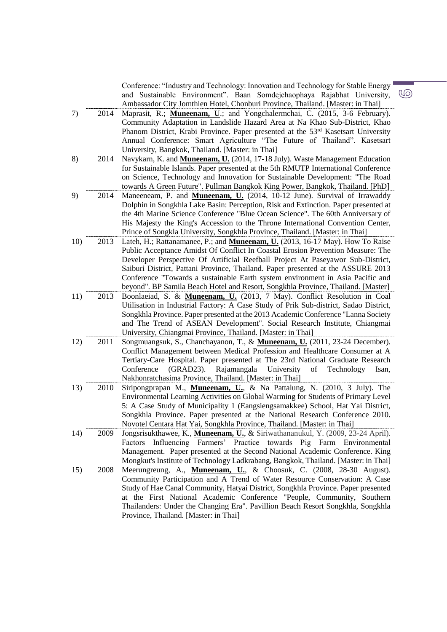|     |      | Conference: "Industry and Technology: Innovation and Technology for Stable Energy<br>and Sustainable Environment". Baan Somdejchaophaya Rajabhat University,    |
|-----|------|-----------------------------------------------------------------------------------------------------------------------------------------------------------------|
|     |      | Ambassador City Jomthien Hotel, Chonburi Province, Thailand. [Master: in Thai]                                                                                  |
| 7)  | 2014 | Maprasit, R.; Muneenam, U.; and Yongchalermchai, C. (2015, 3-6 February).<br>Community Adaptation in Landslide Hazard Area at Na Khao Sub-District, Khao        |
|     |      | Phanom District, Krabi Province. Paper presented at the 53 <sup>rd</sup> Kasetsart University                                                                   |
|     |      | Annual Conference: Smart Agriculture "The Future of Thailand". Kasetsart                                                                                        |
|     |      | University, Bangkok, Thailand. [Master: in Thai]                                                                                                                |
| 8)  | 2014 | Navykarn, K. and Muneenam, U. (2014, 17-18 July). Waste Management Education                                                                                    |
|     |      | for Sustainable Islands. Paper presented at the 5th RMUTP International Conference                                                                              |
|     |      | on Science, Technology and Innovation for Sustainable Development: "The Road                                                                                    |
|     |      | towards A Green Future". Pullman Bangkok King Power, Bangkok, Thailand. [PhD]                                                                                   |
| 9)  | 2014 | Maneeneam, P. and Muneenam, U. (2014, 10-12 June). Survival of Irrawaddy<br>Dolphin in Songkhla Lake Basin: Perception, Risk and Extinction. Paper presented at |
|     |      | the 4th Marine Science Conference "Blue Ocean Science". The 60th Anniversary of                                                                                 |
|     |      | His Majesty the King's Accession to the Throne International Convention Center,                                                                                 |
|     |      | Prince of Songkla University, Songkhla Province, Thailand. [Master: in Thai]                                                                                    |
| 10) | 2013 | Lateh, H.; Rattanamanee, P.; and Muneenam, U. (2013, 16-17 May). How To Raise                                                                                   |
|     |      | Public Acceptance Amidst Of Conflict In Coastal Erosion Prevention Measure: The                                                                                 |
|     |      | Developer Perspective Of Artificial Reefball Project At Paseyawor Sub-District,                                                                                 |
|     |      | Saiburi District, Pattani Province, Thailand. Paper presented at the ASSURE 2013                                                                                |
|     |      | Conference "Towards a sustainable Earth system environment in Asia Pacific and                                                                                  |
|     |      | beyond". BP Samila Beach Hotel and Resort, Songkhla Province, Thailand. [Master]                                                                                |
| 11) | 2013 | Boonlaeiad, S. & Muneenam, U. (2013, 7 May). Conflict Resolution in Coal                                                                                        |
|     |      | Utilisation in Industrial Factory: A Case Study of Prik Sub-district, Sadao District,                                                                           |
|     |      | Songkhla Province. Paper presented at the 2013 Academic Conference "Lanna Society"<br>and The Trend of ASEAN Development". Social Research Institute, Chiangmai |
|     |      | University, Chiangmai Province, Thailand. [Master: in Thai]                                                                                                     |
| 12) | 2011 | Songmuangsuk, S., Chanchayanon, T., & Muneenam, U. (2011, 23-24 December).                                                                                      |
|     |      | Conflict Management between Medical Profession and Healthcare Consumer at A                                                                                     |
|     |      | Tertiary-Care Hospital. Paper presented at The 23rd National Graduate Research                                                                                  |
|     |      | (GRAD23).<br>Rajamangala<br>Technology<br>Conference<br>University<br>of<br>Isan,                                                                               |
|     |      | Nakhonratchasima Province, Thailand. [Master: in Thai]                                                                                                          |
| 13) | 2010 | Siripongprapan M., Muneenam, U., & Na Pattalung, N. (2010, 3 July). The<br>Environmental Learning Activities on Global Warming for Students of Primary Level    |
|     |      | 5: A Case Study of Municipality 1 (Eangsiengsamakkee) School, Hat Yai District,                                                                                 |
|     |      | Songkhla Province. Paper presented at the National Research Conference 2010.                                                                                    |
|     |      | Novotel Centara Hat Yai, Songkhla Province, Thailand. [Master: in Thai]                                                                                         |
| 14) | 2009 | Jongsrisukthawee, K., <b>Muneenam, U.</b> , & Siriwathananukul, Y. (2009, 23-24 April).                                                                         |
|     |      | Influencing Farmers' Practice towards Pig Farm Environmental<br>Factors                                                                                         |
|     |      | Management. Paper presented at the Second National Academic Conference. King                                                                                    |
|     |      | Mongkut's Institute of Technology Ladkrabang, Bangkok, Thailand. [Master: in Thai]                                                                              |
| 15) | 2008 | Meerungreung, A., Muneenam, U., & Choosuk, C. (2008, 28-30 August).                                                                                             |
|     |      | Community Participation and A Trend of Water Resource Conservation: A Case                                                                                      |
|     |      | Study of Hae Canal Community, Hatyai District, Songkhla Province. Paper presented                                                                               |
|     |      | at the First National Academic Conference "People, Community, Southern<br>Thailanders: Under the Changing Era". Pavillion Beach Resort Songkhla, Songkhla       |
|     |      | Province, Thailand. [Master: in Thai]                                                                                                                           |
|     |      |                                                                                                                                                                 |

 $\overline{\mathbb{G}}$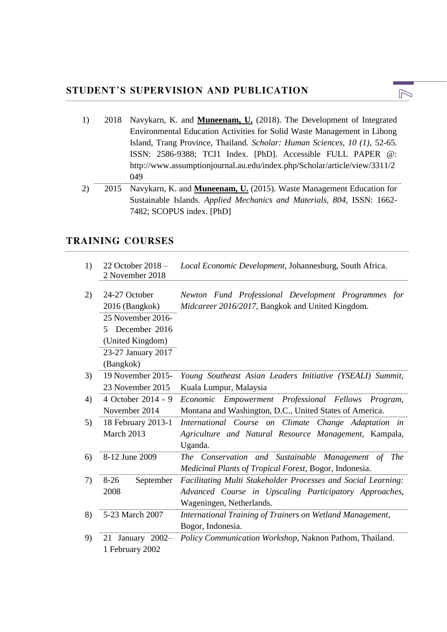| 1) | 2018 Navykarn, K. and Muneenam, U. (2018). The Development of Integrated         |
|----|----------------------------------------------------------------------------------|
|    | Environmental Education Activities for Solid Waste Management in Libong          |
|    | Island, Trang Province, Thailand. Scholar: Human Sciences, 10 (1), 52-65.        |
|    | ISSN: 2586-9388; TCI1 Index. [PhD]. Accessible FULL PAPER @:                     |
|    | http://www.assumptionjournal.au.edu/index.php/Scholar/article/view/3311/2        |
|    | 049                                                                              |
| 2) | 2015 Navykarn, K. and <b>Muneenam, U.</b> (2015). Waste Management Education for |

Sustainable Islands. *Applied Mechanics and Materials, 804*, ISSN: 1662- 7482; SCOPUS index. [PhD]

### **TRAINING COURSES**

| 1) | 22 October $2018 -$<br>2 November 2018                                                                                             | Local Economic Development, Johannesburg, South Africa.                                                                                             |
|----|------------------------------------------------------------------------------------------------------------------------------------|-----------------------------------------------------------------------------------------------------------------------------------------------------|
| 2) | 24-27 October<br>2016 (Bangkok)<br>25 November 2016-<br>December 2016<br>5.<br>(United Kingdom)<br>23-27 January 2017<br>(Bangkok) | Newton Fund Professional Development Programmes for<br>Midcareer 2016/2017, Bangkok and United Kingdom.                                             |
| 3) | 19 November 2015-<br>23 November 2015                                                                                              | Young Southeast Asian Leaders Initiative (YSEALI) Summit,<br>Kuala Lumpur, Malaysia                                                                 |
| 4) | 4 October 2014 - 9<br>November 2014                                                                                                | Empowerment Professional Fellows Program,<br>Economic<br>Montana and Washington, D.C., United States of America.                                    |
| 5) | 18 February 2013-1<br>March 2013                                                                                                   | International Course on Climate Change Adaptation in<br>Agriculture and Natural Resource Management, Kampala,<br>Uganda.                            |
| 6) | 8-12 June 2009                                                                                                                     | The Conservation and Sustainable Management of<br><i>The</i><br>Medicinal Plants of Tropical Forest, Bogor, Indonesia.                              |
| 7) | $8-26$<br>September<br>2008                                                                                                        | Facilitating Multi Stakeholder Processes and Social Learning:<br>Advanced Course in Upscaling Participatory Approaches,<br>Wageningen, Netherlands. |
| 8) | 5-23 March 2007                                                                                                                    | International Training of Trainers on Wetland Management,<br>Bogor, Indonesia.                                                                      |
| 9) | January 2002-<br>21<br>1 February 2002                                                                                             | Policy Communication Workshop, Naknon Pathom, Thailand.                                                                                             |

 $\mathbb{D}$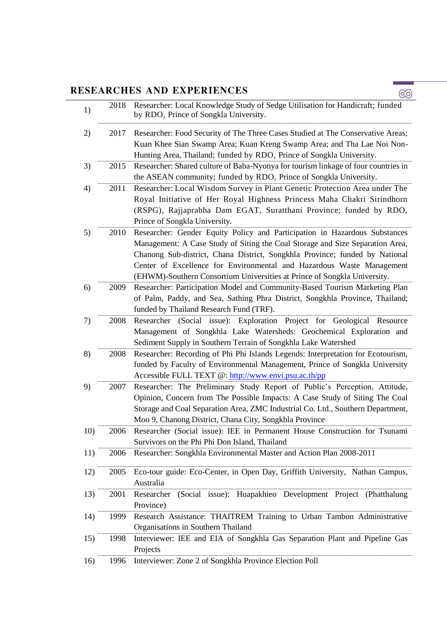## **RESEARCHES AND EXPERIENCES**

| 1)  | 2018 | Researcher: Local Knowledge Study of Sedge Utilisation for Handicraft; funded<br>by RDO, Prince of Songkla University.                                                                                                                                                                                                                                                                          |
|-----|------|-------------------------------------------------------------------------------------------------------------------------------------------------------------------------------------------------------------------------------------------------------------------------------------------------------------------------------------------------------------------------------------------------|
| 2)  | 2017 | Researcher: Food Security of The Three Cases Studied at The Conservative Areas;<br>Kuan Khee Sian Swamp Area; Kuan Kreng Swamp Area; and Tha Lae Noi Non-<br>Hunting Area, Thailand; funded by RDO, Prince of Songkla University.                                                                                                                                                               |
| 3)  | 2015 | Researcher: Shared culture of Baba-Nyonya for tourism linkage of four countries in<br>the ASEAN community; funded by RDO, Prince of Songkla University.                                                                                                                                                                                                                                         |
| 4)  | 2011 | Researcher: Local Wisdom Survey in Plant Genetic Protection Area under The<br>Royal Initiative of Her Royal Highness Princess Maha Chakri Sirindhorn<br>(RSPG), Rajjaprabha Dam EGAT, Suratthani Province; funded by RDO,<br>Prince of Songkla University.                                                                                                                                      |
| 5)  | 2010 | Researcher: Gender Equity Policy and Participation in Hazardous Substances<br>Management: A Case Study of Siting the Coal Storage and Size Separation Area,<br>Chanong Sub-district, Chana District, Songkhla Province; funded by National<br>Center of Excellence for Environmental and Hazardous Waste Management<br>(EHWM)-Southern Consortium Universities at Prince of Songkla University. |
| 6)  | 2009 | Researcher: Participation Model and Community-Based Tourism Marketing Plan<br>of Palm, Paddy, and Sea, Sathing Phra District, Songkhla Province, Thailand;<br>funded by Thailand Research Fund (TRF).                                                                                                                                                                                           |
| 7)  | 2008 | Researcher (Social issue): Exploration Project for Geological Resource<br>Management of Songkhla Lake Watersheds: Geochemical Exploration and<br>Sediment Supply in Southern Terrain of Songkhla Lake Watershed                                                                                                                                                                                 |
| 8)  | 2008 | Researcher: Recording of Phi Phi Islands Legends: Interpretation for Ecotourism,<br>funded by Faculty of Environmental Management, Prince of Songkla University<br>Accessible FULL TEXT @: http://www.envi.psu.ac.th/pp                                                                                                                                                                         |
| 9)  | 2007 | Researcher: The Preliminary Study Report of Public's Perception, Attitude,<br>Opinion, Concern from The Possible Impacts: A Case Study of Siting The Coal<br>Storage and Coal Separation Area, ZMC Industrial Co. Ltd., Southern Department,<br>Moo 9, Chanong District, Chana City, Songkhla Province                                                                                          |
| 10) | 2006 | Researcher (Social issue): IEE in Permanent House Construction for Tsunami<br>Survivors on the Phi Phi Don Island, Thailand                                                                                                                                                                                                                                                                     |
| 11) | 2006 | Researcher: Songkhla Environmental Master and Action Plan 2008-2011                                                                                                                                                                                                                                                                                                                             |
| 12) | 2005 | Eco-tour guide: Eco-Center, in Open Day, Griffith University, Nathan Campus,<br>Australia                                                                                                                                                                                                                                                                                                       |
| 13) | 2001 | (Social issue): Huapakhieo Development Project (Phatthalung<br>Researcher<br>Province)                                                                                                                                                                                                                                                                                                          |
| 14) | 1999 | Research Assistance: THAITREM Training to Urban Tambon Administrative<br>Organisations in Southern Thailand                                                                                                                                                                                                                                                                                     |
| 15) | 1998 | Interviewer: IEE and EIA of Songkhla Gas Separation Plant and Pipeline Gas<br>Projects                                                                                                                                                                                                                                                                                                          |
| 16) | 1996 | Interviewer: Zone 2 of Songkhla Province Election Poll                                                                                                                                                                                                                                                                                                                                          |

 $\circledcirc$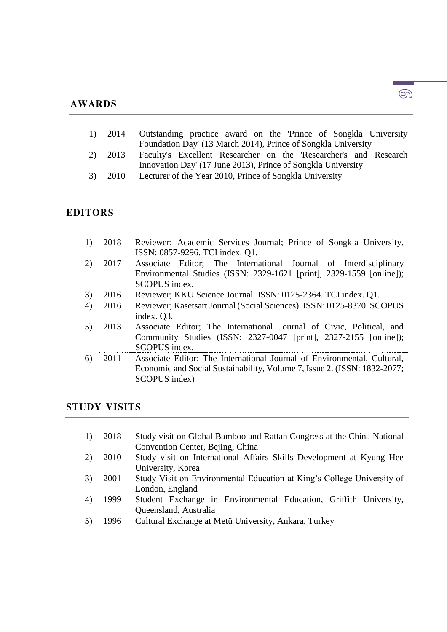#### **AWARDS**

| 1) | 2014 | Outstanding practice award on the 'Prince of Songkla University |  |  |  |  |
|----|------|-----------------------------------------------------------------|--|--|--|--|
|    |      | Foundation Day' (13 March 2014), Prince of Songkla University   |  |  |  |  |

- 2) 2013 Faculty's Excellent Researcher on the 'Researcher's and Research Innovation Day' (17 June 2013), Prince of Songkla University
- 3) 2010 Lecturer of the Year 2010, Prince of Songkla University

#### **EDITORS**

- 1) 2018 Reviewer; Academic Services Journal; Prince of Songkla University. ISSN: 0857-9296. TCI index. Q1. 2) 2017 Associate Editor; The International Journal of Interdisciplinary
- Environmental Studies (ISSN: 2329-1621 [print], 2329-1559 [online]); SCOPUS index.
- 3) 2016 Reviewer; KKU Science Journal. ISSN: 0125-2364. TCI index. Q1.
- 4) 2016 Reviewer; Kasetsart Journal (Social Sciences). ISSN: 0125-8370. SCOPUS index. Q3.
- 5) 2013 Associate Editor; The International Journal of Civic, Political, and Community Studies (ISSN: 2327-0047 [print], 2327-2155 [online]); SCOPUS index.
- 6) 2011 Associate Editor; The International Journal of Environmental, Cultural, Economic and Social Sustainability, Volume 7, Issue 2. (ISSN: 1832-2077; SCOPUS index)

#### **STUDY VISITS**

- 1) 2018 Study visit on Global Bamboo and Rattan Congress at the China National Convention Center, Bejing, China
- 2) 2010 Study visit on International Affairs Skills Development at Kyung Hee University, Korea
- 3) 2001 Study Visit on Environmental Education at King's College University of London, England
- 4) 1999 Student Exchange in Environmental Education, Griffith University, Queensland, Australia
- 5) 1996 Cultural Exchange at Metü University, Ankara, Turkey